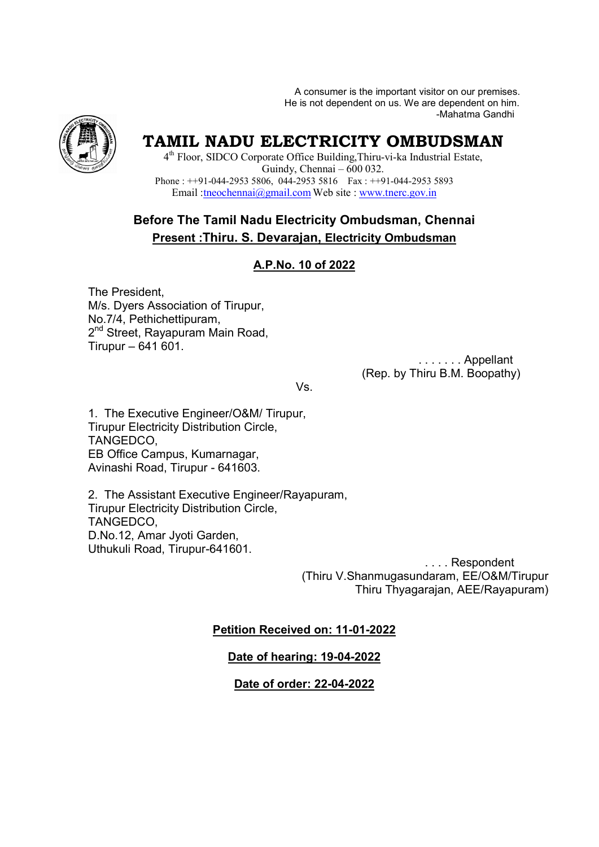A consumer is the important visitor on our premises. A consumer is the important visitor on our premises.<br>He is not dependent on us. We are dependent on him. -Mahatma Gandhi



# **TAMIL NADU ELECTRICITY OMBUDSMAN**

4<sup>th</sup> Floor, SIDCO Corporate Office Building, Thiru-vi-ka Industrial Estate, Phone :  $++91-044-29535806$ , 044-29535816 Fax :  $++91-044-29535893$ Email : theochennai@gmail.com Web site : www.tnerc.gov.in Guindy, Chennai – 600 032.

## **Before The Tamil Nadu Electricity Ombudsman, Chennai Present :Thiru. S. Devarajan, Devarajan, Electricity Ombudsman**

## **A.P.No. 10 of 2022**

The President, M/s. Dyers Association of Tirupur, No.7/4, Pethichettipuram, 2<sup>nd</sup> Street, Rayapuram Main Road, Tirupur – 641 601. Pethichettipuram,<br>et, Rayapuram Mair<br>– 641 601.

 . . . . . . . Appellant . . . . . . . . . Appellant<br>(Rep. by Thiru B.M. Boopathy)

Vs.

1. The Executive Engineer/O&M/ Tirupur, Tirupur Electricity Distribution Circle, TANGEDCO, EB Office Campus, Kumarnagar, EB Office Campus, Kumarnagar,<br>Avinashi Road, Tirupur - 641603.

2. The Assistant Executive Engineer/Rayapuram, Tirupur Electricity Distribution Circle, TANGEDCO, D.No.12, Amar Jyoti Garden, Uthukuli Road, Tirupur-641601. 641601.

(Thiru V.Shanmugasundaram, EE/O&M/Tirupur Thiru Thyagarajan, AEE/Rayapuram AEE/Rayapuram) . . . . Respondent

## **Petition Received on: 11-01-2022**

**Date of hearing: 19-04-2022**

**Date of order: 22-04-2022**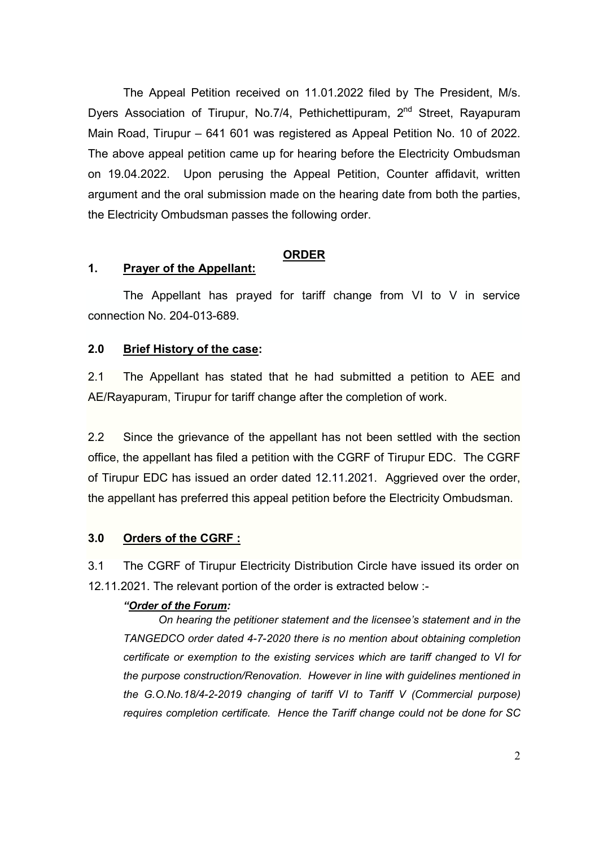The Appeal Petition received on 11.01.2022 filed by The President, M/s. Dyers Association of Tirupur, No.7/4, Pethichettipuram, 2<sup>nd</sup> Street, Rayapuram Main Road, Tirupur – 641 601 was registered as Appeal Petition No. 10 of 2022. The above appeal petition came up for hearing before the Electricity Ombudsman on 19.04.2022. Upon perusing the Appeal Petition, Counter affidavit, written argument and the oral submission made on the hearing date from both the parties, the Electricity Ombudsman passes the following order.

#### **ORDER**

#### **1. Prayer of the Appellant:**

The Appellant has prayed for tariff change from VI to V in service connection No. 204-013-689.

#### **2.0 Brief History of the case:**

2.1 The Appellant has stated that he had submitted a petition to AEE and AE/Rayapuram, Tirupur for tariff change after the completion of work.

2.2 Since the grievance of the appellant has not been settled with the section office, the appellant has filed a petition with the CGRF of Tirupur EDC. The CGRF of Tirupur EDC has issued an order dated 12.11.2021. Aggrieved over the order, the appellant has preferred this appeal petition before the Electricity Ombudsman.

#### **3.0 Orders of the CGRF :**

3.1 The CGRF of Tirupur Electricity Distribution Circle have issued its order on 12.11.2021. The relevant portion of the order is extracted below :-

#### *"Order of the Forum:*

*On hearing the petitioner statement and the licensee's statement and in the TANGEDCO order dated 4-7-2020 there is no mention about obtaining completion certificate or exemption to the existing services which are tariff changed to VI for the purpose construction/Renovation. However in line with guidelines mentioned in the G.O.No.18/4-2-2019 changing of tariff VI to Tariff V (Commercial purpose) requires completion certificate. Hence the Tariff change could not be done for SC*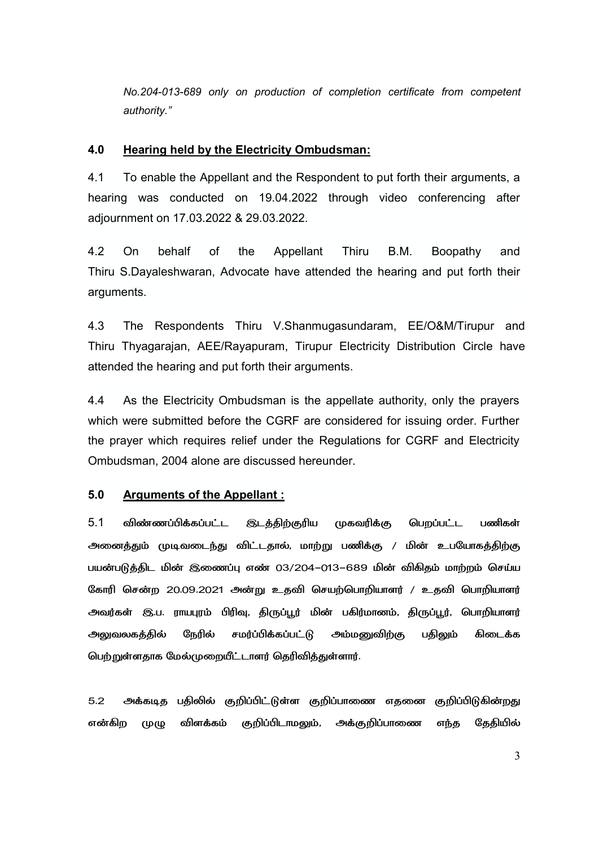*No.204-013-689 only on production of completion certificate from competent authority."* 

#### **4.0 Hearing held by the Electricity Ombudsman:**

4.1 To enable the Appellant and the Respondent to put forth their arguments, a hearing was conducted on 19.04.2022 through video conferencing after adjournment on 17.03.2022 & 29.03.2022.

4.2 On behalf of the Appellant Thiru B.M. Boopathy and Thiru S.Dayaleshwaran, Advocate have attended the hearing and put forth their arguments.

4.3 The Respondents Thiru V.Shanmugasundaram, EE/O&M/Tirupur and Thiru Thyagarajan, AEE/Rayapuram, Tirupur Electricity Distribution Circle have attended the hearing and put forth their arguments.

4.4 As the Electricity Ombudsman is the appellate authority, only the prayers which were submitted before the CGRF are considered for issuing order. Further the prayer which requires relief under the Regulations for CGRF and Electricity Ombudsman, 2004 alone are discussed hereunder.

#### **5.0 Arguments of the Appellant :**

 $5.1$  - விண்ணப்பிக்கப்பட்ட **இடத்திற்குரிய** முகவரிக்கு பெறப்பட்ட பணிகள் அனைத்தும் முடிவடைந்து விட்டதால், மாற்று பணிக்கு / மின் உபயோகத்திற்கு பயன்படுத்திட மின் இணைப்பு எண் 03/204–013–689 மின் விகிதம் மாற்றம் செய்ய கோரி சென்ற 20.09.2021 அன்று உதவி செயற்பொறியாளர் / உதவி பொறியாளர் அவர்கள் இ.ப. ராயபுரம் பிரிவு, திருப்பூர் மின் பகிர்மானம், திருப்பூர், பொறியாளர் அலுவலகத்தில் நேரில் சமர்ப்பிக்கப்பட்டு அம்மனுவிற்கு பதிலும் கிடைக்க பெற்றுள்ளதாக மேல்முறையீட்டாளர் தெரிவித்துள்ளார்.

5.2 அக்கடித பதிலில் குறிப்பிட்டுள்ள குறிப்பாணை எதனை குறிப்பிடுகின்றது என்கிற முழு விளக்கம் குறிப்பிடாமலும், அக்குறிப்பாணை எந்த தேதியில்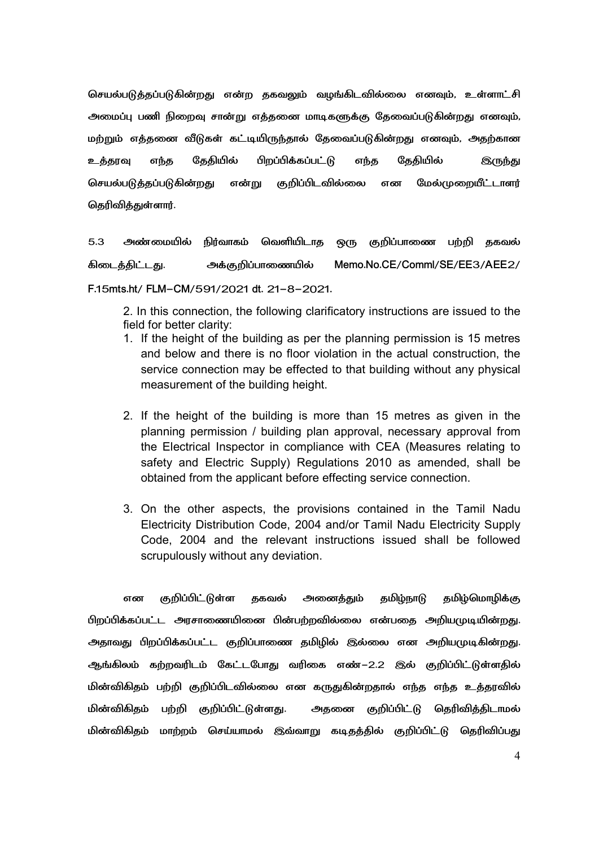செயல்படுத்தப்படுகின்றது என்ற தகவலும் வழங்கிடவில்லை எனவும், உள்ளாட்சி அமைப்பு பணி நிறைவு சான்று எத்தனை மாடிகளுக்கு தேவைப்படுகின்றது எனவும், மற்றும் எத்தனை வீடுகள் கட்டியிருந்தால் தேவைப்படுகின்றது எனவும், அதற்கான உத்தரவு எந்த தேதியில் பிறப்பிக்கப்பட்டு எந்த தேதியில் இருந்து செயல்படுக்கப்படுகின்றது என்று குறிப்பிடவில்லை வில்லை என மேல்முறையீட்டாளர் தெரிவித்துள்ளார்.

5.3 அண்மையில் நிர்வாகம் வெளியிட வெளியிடாத ஒரு குறிப்பாணை பற்றி தகவல் கிடைத்திட்ட அக்குறிப்பாணையில் Memo.No.CE/Comml/SE/EE3/AEE2/

F.15mts.ht/ FLM-CM/591/2021 dt. 21-8-2021.

2. In this connection, the following clarificatory instructions are issued to the field for better clarity:

- 1. If the height of the building as per the planning permission is 15 metres and below and there is no floor violation in the actual construction, the service connection may be effected to that building without any physical measurement of the building height.
- 2. If the height of the building is more than 15 metres as given in the planning permission / building plan approval, necessary approval from the Electrical Inspector in compliance with CEA (Measures relating to safety and Electric Supply) Regulations 2010 as amended, shall be obtained from the applicant before effecting service connection.
- 3. On the other aspects, the provisions contained in the Tamil Nadu Electricity Distribution Code, 2004 and/or Tamil Nadu Electricity Supply Code, 2004 and the relevant instructions issued shall be followed scrupulously without any deviation.

என குறிப்பிட்டுள்ள தகவல் அனைத்தும் தமிழ்நாடு தமிழ்மொழிக்கு பிறப்பிக்கப்பட்ட அரசாணையினை பின்பற்றவில்லை என்பதை அறியமுடியின்றது. அதாவது பிறப்பிக்கப்பட்ட குறிப்பாணை தமிழில் இல்லை என அறியமுடிகின்றது. ஆங்கிலம் கற்றவரிடம் கேட்டபோது வரிகை எண் $-2.2$  இல் குறிப்பிட்டுள்ளதில் மின்விகிதம் பற்றி குறிப்பிடவில்லை என கருதுகின்றதால் எந்த எந்த உத்தரவில் மின்விகிதம் பற்றி குறிப்பிட்டுள்ளது. அதனை குறிப்பிட்டு தெரிவித்திடாமல் மின்விகிதம் மாற்றம் செய்யாமல் இவ்வாறு கடிதத்தில் குறிப்பிட்டு தெரிவிப்பது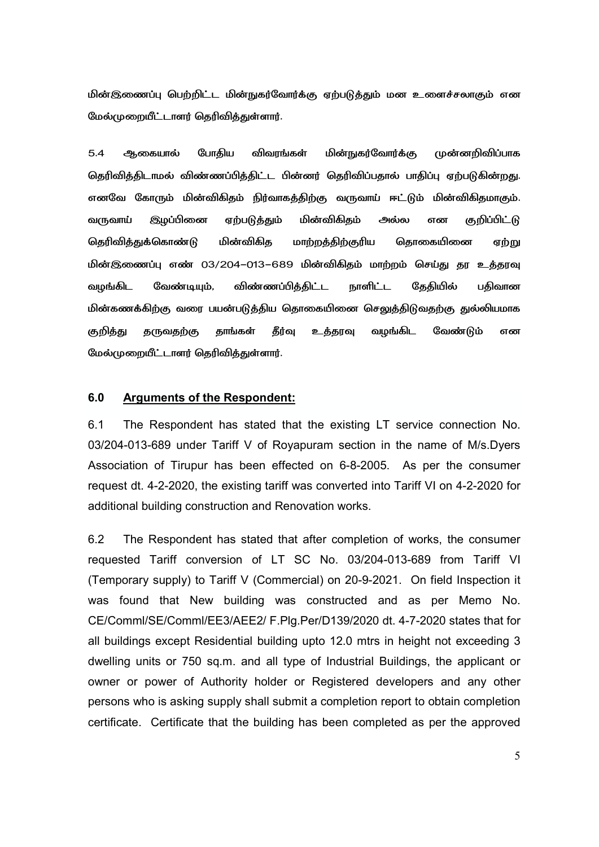மின்இணைப்பு பெற்றிட்ட மின்நுகர்வோர்க்கு ஏற்படுத்தும் மன உளைச்சலாகும் என மேல்முறையீட்டாளர் தெரிவித்துள்ளார்.

5.4 ஆகையால் போதிய விவரங்கள் மின்நுகர்வோர்க்கு முன்னறிவிப்பாக தெரிவித்திடாமல் விண்ணப்பித்திட்ட பின்னர் தெரிவிப்பதால் பாதிப்பு ஏற்படுகின்றது. எனவே கோரும் மின்விகிதம் நிர்வாகத்திற்கு வருவாய் ஈட்டும் மின்விகிதமாகும். வருவாய் இழப்பினை ஏற்படுத்தும் மின்விகிதம் அல்ல என குறிப்பிட்டு தெரிவித்துக்கொண்டு மின்விகித மாற்றத்திற்குரிய தொகையினை ஏற்று மின்இணைப்பு எண் 03/204–013–689 மின்விகிதம் மாற்றம் செய்து தர உத்தரவு வமங்கிட லேண்டியம். டியும், விண்ணப்பித்திட்ட நாளிட்ட கேகியில் பகிவான மின்கணக்கிற்கு வரை பயன்படுத்திய தொகையினை செலுத்திடுவதற்கு துல்லியமாக குறித்து தருவதற்கு தாங்கள் தீர்வு உத்தரவு வழங்கிட வேண்டும் என மேல்முறையீட்டாளர் தெரிவித்துள்ளார்.

#### **6.0 Arguments of the Respondent:**

6.1 The Respondent has stated that the existing LT service connection No. 03/204-013-689 under Tariff V of Royapuram section in the name of M/s.Dyers Association of Tirupur has been effected on 6-8-2005. As per the consumer request dt. 4-2-2020, the existing tariff was converted into Tariff VI on 4-2-2020 for additional building construction and Renovation works.

6.2 The Respondent has stated that after completion of works, the consumer requested Tariff conversion of LT SC No. 03/204-013-689 from Tariff VI (Temporary supply) to Tariff V (Commercial) on 20-9-2021. On field Inspection it was found that New building was constructed and as per Memo No. CE/Comml/SE/Comml/EE3/AEE2/ F.Plg.Per/D139/2020 dt. 4-7-2020 states that for all buildings except Residential building upto 12.0 mtrs in height not exceeding 3 dwelling units or 750 sq.m. and all type of Industrial Buildings, the applicant or owner or power of Authority holder or Registered developers and any other persons who is asking supply shall submit a completion report to obtain completion certificate. Certificate that the building has been completed as per the approved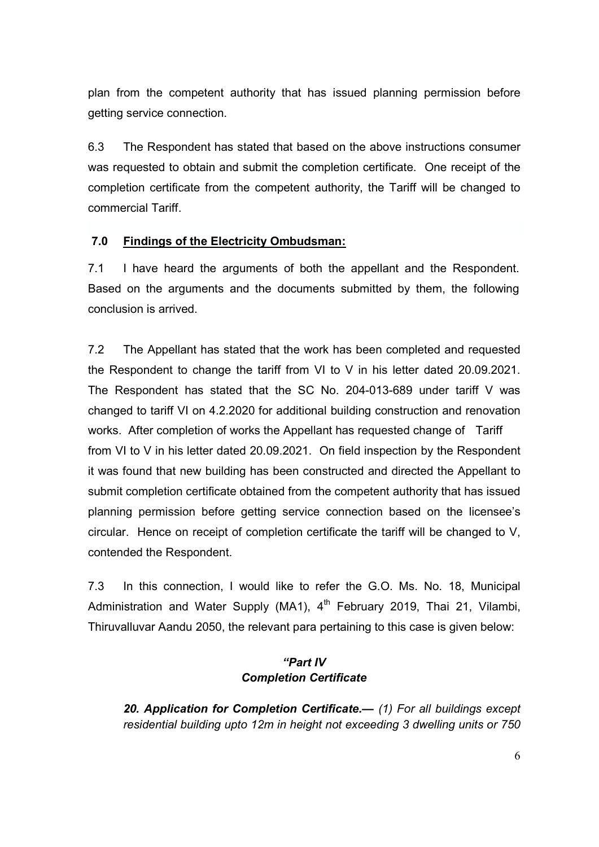plan from the competent authority that has issued planning permission before getting service connection.

6.3 The Respondent has stated that based on the above instructions consumer was requested to obtain and submit the completion certificate. One receipt of the completion certificate from the competent authority, the Tariff will be changed to commercial Tariff.

## **7.0 Findings of the Electricity Ombudsman:**

7.1 I have heard the arguments of both the appellant and the Respondent. Based on the arguments and the documents submitted by them, the following conclusion is arrived.

7.2 The Appellant has stated that the work has been completed and requested the Respondent to change the tariff from VI to V in his letter dated 20.09.2021. The Respondent has stated that the SC No. 204-013-689 under tariff V was changed to tariff VI on 4.2.2020 for additional building construction and renovation works. After completion of works the Appellant has requested change of Tariff from VI to V in his letter dated 20.09.2021. On field inspection by the Respondent it was found that new building has been constructed and directed the Appellant to submit completion certificate obtained from the competent authority that has issued planning permission before getting service connection based on the licensee's circular. Hence on receipt of completion certificate the tariff will be changed to V, contended the Respondent.

7.3 In this connection, I would like to refer the G.O. Ms. No. 18, Municipal Administration and Water Supply (MA1),  $4<sup>th</sup>$  February 2019, Thai 21, Vilambi, Thiruvalluvar Aandu 2050, the relevant para pertaining to this case is given below:

## *"Part IV Completion Certificate*

*20. Application for Completion Certificate.— (1) For all buildings except residential building upto 12m in height not exceeding 3 dwelling units or 750*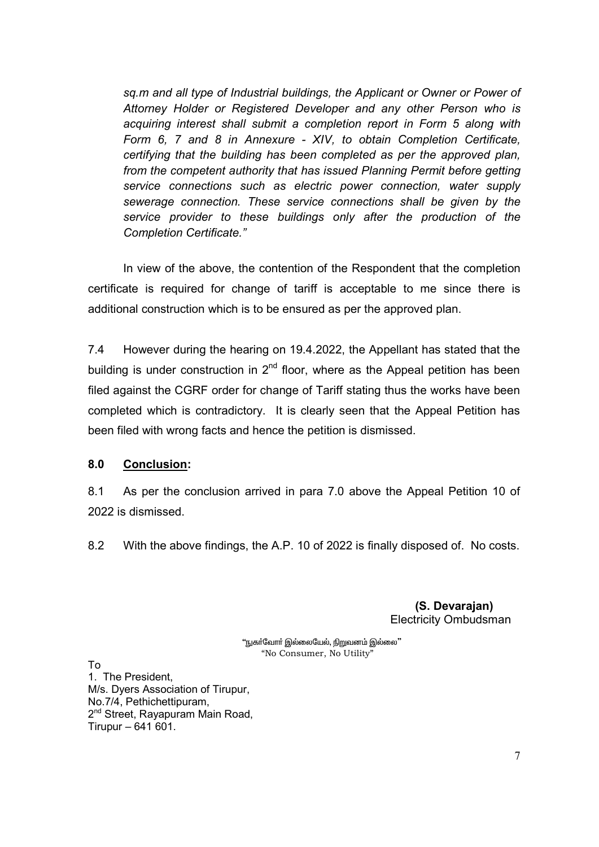*sq.m and all type of Industrial buildings, the Applicant or Owner or Power of Attorney Holder or Registered Developer and any other Person who is acquiring interest shall submit a completion report in Form 5 along with Form 6, 7 and 8 in Annexure - XIV, to obtain Completion Certificate, certifying that the building has been completed as per the approved plan, from the competent authority that has issued Planning Permit before getting service connections such as electric power connection, water supply sewerage connection. These service connections shall be given by the service provider to these buildings only after the production of the Completion Certificate."* 

In view of the above, the contention of the Respondent that the completion certificate is required for change of tariff is acceptable to me since there is additional construction which is to be ensured as per the approved plan.

7.4 However during the hearing on 19.4.2022, the Appellant has stated that the building is under construction in  $2^{nd}$  floor, where as the Appeal petition has been filed against the CGRF order for change of Tariff stating thus the works have been completed which is contradictory. It is clearly seen that the Appeal Petition has been filed with wrong facts and hence the petition is dismissed.

### **8.0 Conclusion:**

8.1 As per the conclusion arrived in para 7.0 above the Appeal Petition 10 of 2022 is dismissed.

8.2 With the above findings, the A.P. 10 of 2022 is finally disposed of. No costs.

 **(S. Devarajan)**  Electricity Ombudsman

"நுகா்வோா் இல்லையேல், நிறுவனம் இல்லை" "No Consumer, No Utility"

To

1. The President, M/s. Dyers Association of Tirupur, No.7/4, Pethichettipuram, 2<sup>nd</sup> Street, Rayapuram Main Road, Tirupur – 641 601.